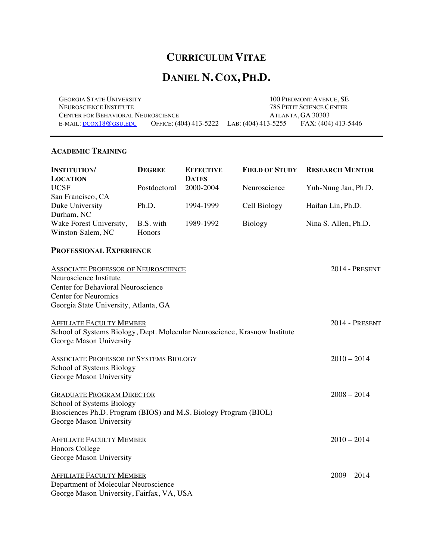# **CURRICULUM VITAE**

# **DANIEL N. COX, PH.D.**

GEORGIA STATE UNIVERSITY 100 PIEDMONT AVENUE, SE NEUROSCIENCE INSTITUTE 785 PETIT SCIENCE CENTER<br>
CENTER FOR BEHAVIORAL NEUROSCIENCE ATLANTA, GA 30303 CENTER FOR BEHAVIORAL NEUROSCIENCE E-MAIL: DCOX18@GSU.EDU OFFICE: (404) 413-5222 LAB: (404) 413-5255 FAX: (404) 413-5446

# **ACADEMIC TRAINING**

| <b>INSTITUTION/</b>                                                        | <b>DEGREE</b> | <b>EFFECTIVE</b> | <b>FIELD OF STUDY</b> | <b>RESEARCH MENTOR</b> |
|----------------------------------------------------------------------------|---------------|------------------|-----------------------|------------------------|
| <b>LOCATION</b>                                                            |               | <b>DATES</b>     |                       |                        |
| <b>UCSF</b>                                                                | Postdoctoral  | 2000-2004        | Neuroscience          | Yuh-Nung Jan, Ph.D.    |
| San Francisco, CA<br>Duke University                                       | Ph.D.         | 1994-1999        | Cell Biology          | Haifan Lin, Ph.D.      |
| Durham, NC                                                                 |               |                  |                       |                        |
| Wake Forest University,                                                    | B.S. with     | 1989-1992        | Biology               | Nina S. Allen, Ph.D.   |
| Winston-Salem, NC                                                          | Honors        |                  |                       |                        |
| <b>PROFESSIONAL EXPERIENCE</b>                                             |               |                  |                       |                        |
| <b>ASSOCIATE PROFESSOR OF NEUROSCIENCE</b>                                 |               |                  |                       | 2014 - PRESENT         |
| Neuroscience Institute                                                     |               |                  |                       |                        |
| Center for Behavioral Neuroscience                                         |               |                  |                       |                        |
| <b>Center for Neuromics</b><br>Georgia State University, Atlanta, GA       |               |                  |                       |                        |
|                                                                            |               |                  |                       |                        |
| <b>AFFILIATE FACULTY MEMBER</b>                                            |               |                  |                       | 2014 - PRESENT         |
| School of Systems Biology, Dept. Molecular Neuroscience, Krasnow Institute |               |                  |                       |                        |
| George Mason University                                                    |               |                  |                       |                        |
|                                                                            |               |                  |                       |                        |
| <b>ASSOCIATE PROFESSOR OF SYSTEMS BIOLOGY</b>                              |               |                  |                       | $2010 - 2014$          |
| School of Systems Biology                                                  |               |                  |                       |                        |
| George Mason University                                                    |               |                  |                       |                        |
|                                                                            |               |                  |                       |                        |
| <b>GRADUATE PROGRAM DIRECTOR</b><br>School of Systems Biology              |               |                  |                       | $2008 - 2014$          |
| Biosciences Ph.D. Program (BIOS) and M.S. Biology Program (BIOL)           |               |                  |                       |                        |
| George Mason University                                                    |               |                  |                       |                        |
|                                                                            |               |                  |                       |                        |
| <b>AFFILIATE FACULTY MEMBER</b>                                            |               |                  |                       | $2010 - 2014$          |
| Honors College                                                             |               |                  |                       |                        |
| George Mason University                                                    |               |                  |                       |                        |
| <b>AFFILIATE FACULTY MEMBER</b>                                            |               |                  |                       | $2009 - 2014$          |
| Department of Molecular Neuroscience                                       |               |                  |                       |                        |
| George Mason University, Fairfax, VA, USA                                  |               |                  |                       |                        |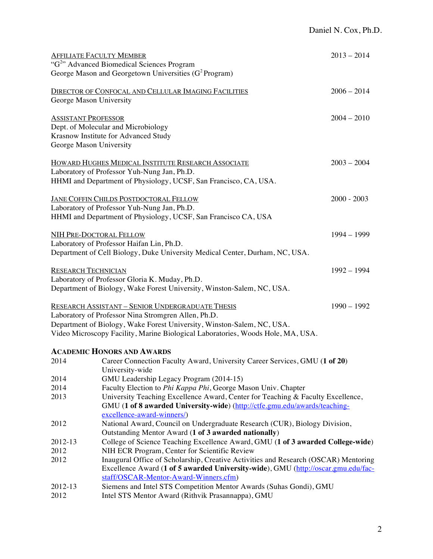|                                                       | <b>AFFILIATE FACULTY MEMBER</b><br>"G <sup>2</sup> " Advanced Biomedical Sciences Program                                                                                                                                                                                   | $2013 - 2014$ |
|-------------------------------------------------------|-----------------------------------------------------------------------------------------------------------------------------------------------------------------------------------------------------------------------------------------------------------------------------|---------------|
|                                                       | George Mason and Georgetown Universities $(G^2)$ Program)                                                                                                                                                                                                                   |               |
| George Mason University                               | DIRECTOR OF CONFOCAL AND CELLULAR IMAGING FACILITIES                                                                                                                                                                                                                        | $2006 - 2014$ |
| <b>ASSISTANT PROFESSOR</b><br>George Mason University | Dept. of Molecular and Microbiology<br>Krasnow Institute for Advanced Study                                                                                                                                                                                                 | $2004 - 2010$ |
|                                                       | <b>HOWARD HUGHES MEDICAL INSTITUTE RESEARCH ASSOCIATE</b><br>Laboratory of Professor Yuh-Nung Jan, Ph.D.<br>HHMI and Department of Physiology, UCSF, San Francisco, CA, USA.                                                                                                | $2003 - 2004$ |
|                                                       | <b>JANE COFFIN CHILDS POSTDOCTORAL FELLOW</b><br>Laboratory of Professor Yuh-Nung Jan, Ph.D.<br>HHMI and Department of Physiology, UCSF, San Francisco CA, USA                                                                                                              | $2000 - 2003$ |
|                                                       | <b>NIH PRE-DOCTORAL FELLOW</b><br>Laboratory of Professor Haifan Lin, Ph.D.<br>Department of Cell Biology, Duke University Medical Center, Durham, NC, USA.                                                                                                                 | $1994 - 1999$ |
| <b>RESEARCH TECHNICIAN</b>                            | Laboratory of Professor Gloria K. Muday, Ph.D.<br>Department of Biology, Wake Forest University, Winston-Salem, NC, USA.                                                                                                                                                    | $1992 - 1994$ |
|                                                       | <b>RESEARCH ASSISTANT - SENIOR UNDERGRADUATE THESIS</b><br>Laboratory of Professor Nina Stromgren Allen, Ph.D.<br>Department of Biology, Wake Forest University, Winston-Salem, NC, USA.<br>Video Microscopy Facility, Marine Biological Laboratories, Woods Hole, MA, USA. | $1990 - 1992$ |
|                                                       | <b>ACADEMIC HONORS AND AWARDS</b>                                                                                                                                                                                                                                           |               |
| 2014                                                  | Career Connection Faculty Award, University Career Services, GMU (1 of 20)<br>University-wide                                                                                                                                                                               |               |
| 2014                                                  | GMU Leadership Legacy Program (2014-15)                                                                                                                                                                                                                                     |               |
| 2014<br>2013                                          | Faculty Election to Phi Kappa Phi, George Mason Univ. Chapter<br>University Teaching Excellence Award, Center for Teaching & Faculty Excellence,<br>GMU (1 of 8 awarded University-wide) (http://ctfe.gmu.edu/awards/teaching-<br>excellence-award-winners/)                |               |
| 2012                                                  | National Award, Council on Undergraduate Research (CUR), Biology Division,<br>Outstanding Mentor Award (1 of 3 awarded nationally)                                                                                                                                          |               |
| 2012-13                                               | College of Science Teaching Excellence Award, GMU (1 of 3 awarded College-wide)                                                                                                                                                                                             |               |
| 2012                                                  | NIH ECR Program, Center for Scientific Review                                                                                                                                                                                                                               |               |
| 2012                                                  | Inaugural Office of Scholarship, Creative Activities and Research (OSCAR) Mentoring<br>Excellence Award (1 of 5 awarded University-wide), GMU (http://oscar.gmu.edu/fac-<br>staff/OSCAR-Mentor-Award-Winners.cfm)                                                           |               |
| 2012-13<br>2012                                       | Siemens and Intel STS Competition Mentor Awards (Suhas Gondi), GMU<br>Intel STS Mentor Award (Rithvik Prasannappa), GMU                                                                                                                                                     |               |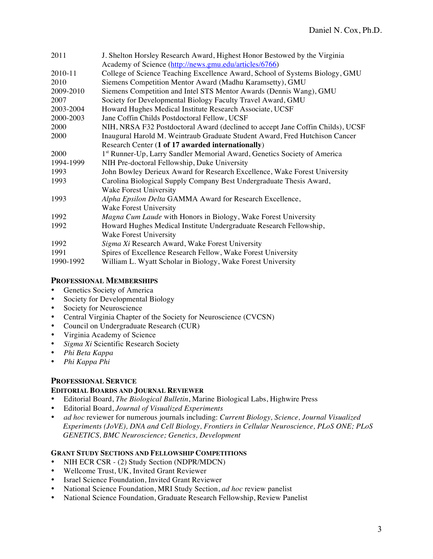| 2011      | J. Shelton Horsley Research Award, Highest Honor Bestowed by the Virginia            |  |
|-----------|--------------------------------------------------------------------------------------|--|
|           | Academy of Science (http://news.gmu.edu/articles/6766)                               |  |
| 2010-11   | College of Science Teaching Excellence Award, School of Systems Biology, GMU         |  |
| 2010      | Siemens Competition Mentor Award (Madhu Karamsetty), GMU                             |  |
| 2009-2010 | Siemens Competition and Intel STS Mentor Awards (Dennis Wang), GMU                   |  |
| 2007      | Society for Developmental Biology Faculty Travel Award, GMU                          |  |
| 2003-2004 | Howard Hughes Medical Institute Research Associate, UCSF                             |  |
| 2000-2003 | Jane Coffin Childs Postdoctoral Fellow, UCSF                                         |  |
| 2000      | NIH, NRSA F32 Postdoctoral Award (declined to accept Jane Coffin Childs), UCSF       |  |
| 2000      | Inaugural Harold M. Weintraub Graduate Student Award, Fred Hutchison Cancer          |  |
|           | Research Center (1 of 17 awarded internationally)                                    |  |
| 2000      | 1 <sup>st</sup> Runner-Up, Larry Sandler Memorial Award, Genetics Society of America |  |
| 1994-1999 | NIH Pre-doctoral Fellowship, Duke University                                         |  |
| 1993      | John Bowley Derieux Award for Research Excellence, Wake Forest University            |  |
| 1993      | Carolina Biological Supply Company Best Undergraduate Thesis Award,                  |  |
|           | Wake Forest University                                                               |  |
| 1993      | Alpha Epsilon Delta GAMMA Award for Research Excellence,                             |  |
|           | Wake Forest University                                                               |  |
| 1992      | Magna Cum Laude with Honors in Biology, Wake Forest University                       |  |
| 1992      | Howard Hughes Medical Institute Undergraduate Research Fellowship,                   |  |
|           | Wake Forest University                                                               |  |
| 1992      | Sigma Xi Research Award, Wake Forest University                                      |  |
| 1991      | Spires of Excellence Research Fellow, Wake Forest University                         |  |
| 1990-1992 | William L. Wyatt Scholar in Biology, Wake Forest University                          |  |

# **PROFESSIONAL MEMBERSHIPS**

- Genetics Society of America<br>• Society for Developmental Bi
- Society for Developmental Biology
- Society for Neuroscience
- Central Virginia Chapter of the Society for Neuroscience (CVCSN)<br>• Council on Undergraduate Research (CUR)
- Council on Undergraduate Research (CUR)
- Virginia Academy of Science
- *Sigma Xi* Scientific Research Society
- *Phi Beta Kappa*
- *Phi Kappa Phi*

# **PROFESSIONAL SERVICE**

# **EDITORIAL BOARDS AND JOURNAL REVIEWER**

- Editorial Board, *The Biological Bulletin*, Marine Biological Labs, Highwire Press
- Editorial Board, *Journal of Visualized Experiments*
- *ad hoc* reviewer for numerous journals including: *Current Biology, Science, Journal Visualized Experiments (JoVE), DNA and Cell Biology, Frontiers in Cellular Neuroscience, PLoS ONE; PLoS GENETICS, BMC Neuroscience; Genetics, Development*

# **GRANT STUDY SECTIONS AND FELLOWSHIP COMPETITIONS**

- NIH ECR CSR (2) Study Section (NDPR/MDCN)
- Wellcome Trust, UK, Invited Grant Reviewer
- Israel Science Foundation, Invited Grant Reviewer
- National Science Foundation, MRI Study Section, *ad hoc* review panelist<br>• National Science Foundation Graduate Research Fellowshin Review Pan
- National Science Foundation, Graduate Research Fellowship, Review Panelist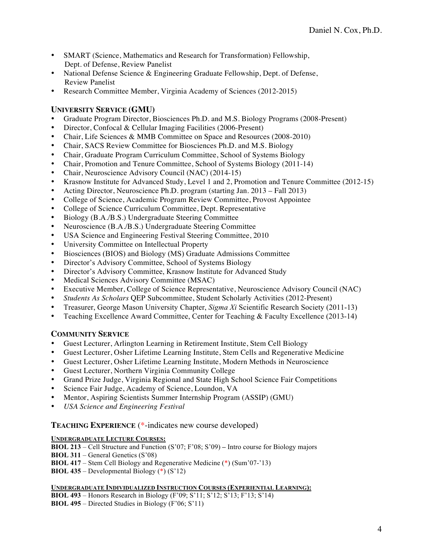- SMART (Science, Mathematics and Research for Transformation) Fellowship, Dept. of Defense, Review Panelist
- National Defense Science & Engineering Graduate Fellowship, Dept. of Defense, Review Panelist
- Research Committee Member, Virginia Academy of Sciences (2012-2015)

# **UNIVERSITY SERVICE (GMU)**

- Graduate Program Director, Biosciences Ph.D. and M.S. Biology Programs (2008-Present)<br>• Director Confocal & Cellular Imaging Facilities (2006-Present)
- Director, Confocal & Cellular Imaging Facilities (2006-Present)
- Chair, Life Sciences & MMB Committee on Space and Resources (2008-2010)
- Chair, SACS Review Committee for Biosciences Ph.D. and M.S. Biology
- Chair, Graduate Program Curriculum Committee, School of Systems Biology
- Chair, Promotion and Tenure Committee, School of Systems Biology (2011-14)
- Chair, Neuroscience Advisory Council (NAC) (2014-15)
- Krasnow Institute for Advanced Study, Level 1 and 2, Promotion and Tenure Committee (2012-15)
- Acting Director, Neuroscience Ph.D. program (starting Jan. 2013 Fall 2013)
- College of Science, Academic Program Review Committee, Provost Appointee
- College of Science Curriculum Committee, Dept. Representative<br>• Biology (B A /B S ) Undergraduate Steering Committee
- Biology (B.A./B.S.) Undergraduate Steering Committee
- Neuroscience (B.A./B.S.) Undergraduate Steering Committee
- USA Science and Engineering Festival Steering Committee, 2010
- University Committee on Intellectual Property
- Biosciences (BIOS) and Biology (MS) Graduate Admissions Committee
- Director's Advisory Committee, School of Systems Biology
- Director's Advisory Committee, Krasnow Institute for Advanced Study
- Medical Sciences Advisory Committee (MSAC)
- Executive Member, College of Science Representative, Neuroscience Advisory Council (NAC)
- *Students As Scholars* QEP Subcommittee, Student Scholarly Activities (2012-Present)
- Treasurer, George Mason University Chapter, *Sigma Xi* Scientific Research Society (2011-13)<br>• Teaching Excellence Award Committee Center for Teaching & Faculty Excellence (2013-14)
- Teaching Excellence Award Committee, Center for Teaching & Faculty Excellence (2013-14)

# **COMMUNITY SERVICE**

- Guest Lecturer, Arlington Learning in Retirement Institute, Stem Cell Biology
- Guest Lecturer, Osher Lifetime Learning Institute, Stem Cells and Regenerative Medicine
- Guest Lecturer, Osher Lifetime Learning Institute, Modern Methods in Neuroscience
- Guest Lecturer, Northern Virginia Community College
- Grand Prize Judge, Virginia Regional and State High School Science Fair Competitions
- Science Fair Judge, Academy of Science, Loundon, VA
- Mentor, Aspiring Scientists Summer Internship Program (ASSIP) (GMU)
- *USA Science and Engineering Festival*

# **TEACHING EXPERIENCE** (\*-indicates new course developed)

# **UNDERGRADUATE LECTURE COURSES:**

**BIOL 213** – Cell Structure and Function (S'07; F'08; S'09) **–** Intro course for Biology majors

**BIOL 311** – General Genetics (S'08)

**BIOL 417** – Stem Cell Biology and Regenerative Medicine (\*) (Sum'07-'13)

**BIOL 435** – Developmental Biology (\*) (S'12)

# **UNDERGRADUATE INDIVIDUALIZED INSTRUCTION COURSES (EXPERIENTIAL LEARNING):**

**BIOL 493** – Honors Research in Biology (F'09; S'11; S'12; S'13; F'13; S'14) **BIOL 495** – Directed Studies in Biology (F'06; S'11)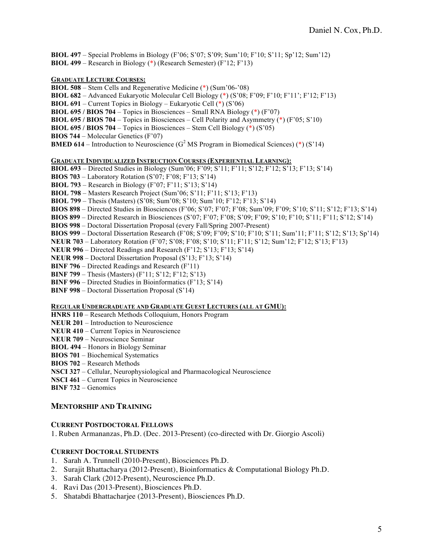**BIOL 497** – Special Problems in Biology (F'06; S'07; S'09; Sum'10; F'10; S'11; Sp'12; Sum'12) **BIOL 499** – Research in Biology (\*) (Research Semester) (F'12; F'13)

#### **GRADUATE LECTURE COURSES:**

**BIOL 508** – Stem Cells and Regenerative Medicine (\*) (Sum'06-'08)

**BIOL 682** – Advanced Eukaryotic Molecular Cell Biology (\*) (S'08; F'09; F'10; F'11'; F'12; F'13)

**BIOL 691** – Current Topics in Biology – Eukaryotic Cell (\*) (S'06)

**BIOL 695 / BIOS 704** – Topics in Biosciences – Small RNA Biology (\*) (F'07)

**BIOL 695 / BIOS 704** – Topics in Biosciences – Cell Polarity and Asymmetry (\*) (F'05; S'10)

**BIOL 695 / BIOS 704** – Topics in Biosciences – Stem Cell Biology (\*) (S'05)

**BIOS 744** – Molecular Genetics (F'07)

**BMED 614** – Introduction to Neuroscience ( $G^2$  MS Program in Biomedical Sciences) (\*) (S'14)

#### **GRADUATE INDIVIDUALIZED INSTRUCTION COURSES (EXPERIENTIAL LEARNING):**

**BIOL 693** – Directed Studies in Biology (Sum'06; F'09; S'11; F'11; S'12; F'12; S'13; F'13; S'14)

**BIOS 703** – Laboratory Rotation (S'07; F'08; F'13; S'14)

**BIOL 793** – Research in Biology (F'07; F'11; S'13; S'14)

**BIOL 798** – Masters Research Project (Sum'06; S'11; F'11; S'13; F'13)

**BIOL 799** – Thesis (Masters) (S'08; Sum'08; S'10; Sum'10; F'12; F'13; S'14)

**BIOS 898** – Directed Studies in Biosciences (F'06; S'07; F'07; F'08; Sum'09; F'09; S'10; S'11; S'12; F'13; S'14)

**BIOS 899** – Directed Research in Biosciences (S'07; F'07; F'08; S'09; F'09; S'10; F'10; S'11; F'11; S'12; S'14)

**BIOS 998** – Doctoral Dissertation Proposal (every Fall/Spring 2007-Present)

**BIOS 999** – Doctoral Dissertation Research (F'08; S'09; F'09; S'10; F'10; S'11; Sum'11; F'11; S'12; S'13; Sp'14)

**NEUR 703** – Laboratory Rotation (F'07; S'08; F'08; S'10; S'11; F'11; S'12; Sum'12; F'12; S'13; F'13)

**NEUR 996** – Directed Readings and Research (F'12; S'13; F'13; S'14)

**NEUR 998** – Doctoral Dissertation Proposal (S'13; F'13; S'14)

**BINF 796** – Directed Readings and Research (F'11)

**BINF 799** – Thesis (Masters) (F'11; S'12; F'12; S'13)

**BINF 996** – Directed Studies in Bioinformatics (F'13; S'14)

**BINF 998** – Doctoral Dissertation Proposal (S'14)

#### **REGULAR UNDERGRADUATE AND GRADUATE GUEST LECTURES (ALL AT GMU):**

**HNRS 110** – Research Methods Colloquium, Honors Program

**NEUR 201** – Introduction to Neuroscience

**NEUR 410** – Current Topics in Neuroscience

**NEUR 709** – Neuroscience Seminar

**BIOL 494** – Honors in Biology Seminar

**BIOS 701** – Biochemical Systematics

**BIOS 702** – Research Methods

**NSCI 327** – Cellular, Neurophysiological and Pharmacological Neuroscience

**NSCI 461** – Current Topics in Neuroscience

**BINF 732** – Genomics

#### **MENTORSHIP AND TRAINING**

#### **CURRENT POSTDOCTORAL FELLOWS**

1. Ruben Armananzas, Ph.D. (Dec. 2013-Present) (co-directed with Dr. Giorgio Ascoli)

### **CURRENT DOCTORAL STUDENTS**

- 1. Sarah A. Trunnell (2010-Present), Biosciences Ph.D.
- 2. Surajit Bhattacharya (2012-Present), Bioinformatics & Computational Biology Ph.D.
- 3. Sarah Clark (2012-Present), Neuroscience Ph.D.
- 4. Ravi Das (2013-Present), Biosciences Ph.D.
- 5. Shatabdi Bhattacharjee (2013-Present), Biosciences Ph.D.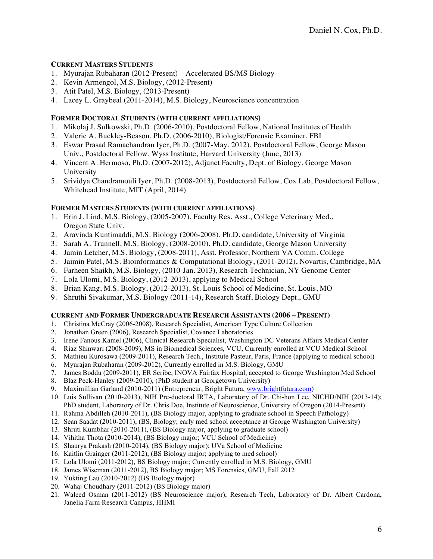## **CURRENT MASTERS STUDENTS**

- 1. Myurajan Rubaharan (2012-Present) Accelerated BS/MS Biology
- 2. Kevin Armengol, M.S. Biology, (2012-Present)
- 3. Atit Patel, M.S. Biology, (2013-Present)
- 4. Lacey L. Graybeal (2011-2014), M.S. Biology, Neuroscience concentration

## **FORMER DOCTORAL STUDENTS (WITH CURRENT AFFILIATIONS)**

- 1. Mikolaj J. Sulkowski, Ph.D. (2006-2010), Postdoctoral Fellow, National Institutes of Health
- 2. Valerie A. Buckley-Beason, Ph.D. (2006-2010), Biologist/Forensic Examiner, FBI
- 3. Eswar Prasad Ramachandran Iyer, Ph.D. (2007-May, 2012), Postdoctoral Fellow, George Mason Univ., Postdoctoral Fellow, Wyss Institute, Harvard University (June, 2013)
- 4. Vincent A. Hermoso, Ph.D. (2007-2012), Adjunct Faculty, Dept. of Biology, George Mason University
- 5. Srividya Chandramouli Iyer, Ph.D. (2008-2013), Postdoctoral Fellow, Cox Lab, Postdoctoral Fellow, Whitehead Institute, MIT (April, 2014)

## **FORMER MASTERS STUDENTS (WITH CURRENT AFFILIATIONS)**

- 1. Erin J. Lind, M.S. Biology, (2005-2007), Faculty Res. Asst., College Veterinary Med., Oregon State Univ.
- 2. Aravinda Kuntimaddi, M.S. Biology (2006-2008), Ph.D. candidate, University of Virginia
- 3. Sarah A. Trunnell, M.S. Biology, (2008-2010), Ph.D. candidate, George Mason University
- 4. Jamin Letcher, M.S. Biology, (2008-2011), Asst. Professor, Northern VA Comm. College
- 5. Jaimin Patel, M.S. Bioinformatics & Computational Biology, (2011-2012), Novartis, Cambridge, MA
- 6. Farheen Shaikh, M.S. Biology, (2010-Jan. 2013), Research Technician, NY Genome Center
- 7. Lola Ulomi, M.S. Biology, (2012-2013), applying to Medical School
- 8. Brian Kang, M.S. Biology, (2012-2013), St. Louis School of Medicine, St. Louis, MO
- 9. Shruthi Sivakumar, M.S. Biology (2011-14), Research Staff, Biology Dept., GMU

#### **CURRENT AND FORMER UNDERGRADUATE RESEARCH ASSISTANTS (2006 – PRESENT)**

- 1. Christina McCray (2006-2008), Research Specialist, American Type Culture Collection
- 2. Jonathan Green (2006), Research Specialist, Covance Laboratories
- 3. Irene Fanous Kamel (2006), Clinical Research Specialist, Washington DC Veterans Affairs Medical Center
- 4. Riaz Shinwari (2008-2009), MS in Biomedical Sciences, VCU, Currently enrolled at VCU Medical School
- 5. Mathieu Kurosawa (2009-2011), Research Tech., Institute Pasteur, Paris, France (applying to medical school)
- 6. Myurajan Rubaharan (2009-2012), Currently enrolled in M.S. Biology, GMU
- 7. James Boddu (2009-2011), ER Scribe, INOVA Fairfax Hospital, accepted to George Washington Med School
- 8. Blaz Peck-Hanley (2009-2010), (PhD student at Georgetown University)
- 9. Maximillian Garland (2010-2011) (Entrepreneur, Bright Futura, www.brightfutura.com)
- 10. Luis Sullivan (2010-2013), NIH Pre-doctoral IRTA, Laboratory of Dr. Chi-hon Lee, NICHD/NIH (2013-14); PhD student, Laboratory of Dr. Chris Doe, Institute of Neuroscience, University of Oregon (2014-Present)
- 11. Rahma Abdilleh (2010-2011), (BS Biology major, applying to graduate school in Speech Pathology)
- 12. Sean Saadat (2010-2011), (BS, Biology; early med school acceptance at George Washington University)
- 13. Shruti Kumbhar (2010-2011), (BS Biology major, applying to graduate school)
- 14. Vihitha Thota (2010-2014), (BS Biology major; VCU School of Medicine)
- 15. Shaurya Prakash (2010-2014), (BS Biology major); UVa School of Medicine
- 16. Kaitlin Grainger (2011-2012), (BS Biology major; applying to med school)
- 17. Lola Ulomi (2011-2012), BS Biology major; Currently enrolled in M.S. Biology, GMU
- 18. James Wiseman (2011-2012), BS Biology major; MS Forensics, GMU, Fall 2012
- 19. Yukting Lau (2010-2012) (BS Biology major)
- 20. Wahaj Choudhary (2011-2012) (BS Biology major)
- 21. Waleed Osman (2011-2012) (BS Neuroscience major), Research Tech, Laboratory of Dr. Albert Cardona, Janelia Farm Research Campus, HHMI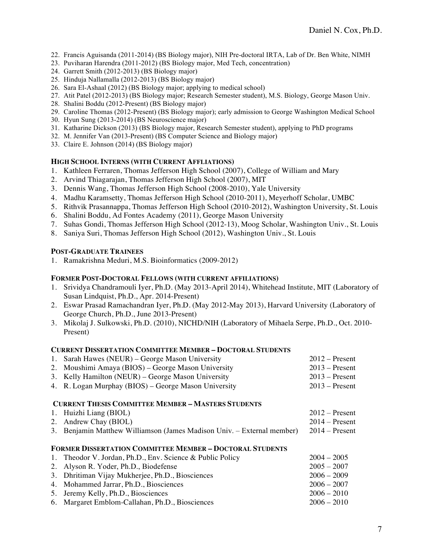- 22. Francis Aguisanda (2011-2014) (BS Biology major), NIH Pre-doctoral IRTA, Lab of Dr. Ben White, NIMH
- 23. Puviharan Harendra (2011-2012) (BS Biology major, Med Tech, concentration)
- 24. Garrett Smith (2012-2013) (BS Biology major)
- 25. Hinduja Nallamalla (2012-2013) (BS Biology major)
- 26. Sara El-Ashaal (2012) (BS Biology major; applying to medical school)
- 27. Atit Patel (2012-2013) (BS Biology major; Research Semester student), M.S. Biology, George Mason Univ.
- 28. Shalini Boddu (2012-Present) (BS Biology major)
- 29. Caroline Thomas (2012-Present) (BS Biology major); early admission to George Washington Medical School
- 30. Hyun Sung (2013-2014) (BS Neuroscience major)
- 31. Katharine Dickson (2013) (BS Biology major, Research Semester student), applying to PhD programs
- 32. M. Jennifer Van (2013-Present) (BS Computer Science and Biology major)
- 33. Claire E. Johnson (2014) (BS Biology major)

#### **HIGH SCHOOL INTERNS (WITH CURRENT AFFLIATIONS)**

- 1. Kathleen Ferraren, Thomas Jefferson High School (2007), College of William and Mary
- 2. Arvind Thiagarajan, Thomas Jefferson High School (2007), MIT
- 3. Dennis Wang, Thomas Jefferson High School (2008-2010), Yale University
- 4. Madhu Karamsetty, Thomas Jefferson High School (2010-2011), Meyerhoff Scholar, UMBC
- 5. Rithvik Prasannappa, Thomas Jefferson High School (2010-2012), Washington University, St. Louis
- 6. Shalini Boddu, Ad Fontes Academy (2011), George Mason University
- 7. Suhas Gondi, Thomas Jefferson High School (2012-13), Moog Scholar, Washington Univ., St. Louis
- 8. Saniya Suri, Thomas Jefferson High School (2012), Washington Univ., St. Louis

#### **POST-GRADUATE TRAINEES**

1. Ramakrishna Meduri, M.S. Bioinformatics (2009-2012)

#### **FORMER POST-DOCTORAL FELLOWS (WITH CURRENT AFFILIATIONS)**

- 1. Srividya Chandramouli Iyer, Ph.D. (May 2013-April 2014), Whitehead Institute, MIT (Laboratory of Susan Lindquist, Ph.D., Apr. 2014-Present)
- 2. Eswar Prasad Ramachandran Iyer, Ph.D. (May 2012-May 2013), Harvard University (Laboratory of George Church, Ph.D., June 2013-Present)
- 3. Mikolaj J. Sulkowski, Ph.D. (2010), NICHD/NIH (Laboratory of Mihaela Serpe, Ph.D., Oct. 2010- Present)

#### **CURRENT DISSERTATION COMMITTEE MEMBER – DOCTORAL STUDENTS**

| 1. Sarah Hawes (NEUR) – George Mason University    | $2012 -$ Present |
|----------------------------------------------------|------------------|
| 2. Moushimi Amaya (BIOS) – George Mason University | $2013 -$ Present |
| 3. Kelly Hamilton (NEUR) – George Mason University | $2013 -$ Present |

4. R. Logan Murphay (BIOS) – George Mason University 2013 – Present

## **CURRENT THESIS COMMITTEE MEMBER – MASTERS STUDENTS**

| 1. Huizhi Liang (BIOL)<br>2. Andrew Chay (BIOL)<br>3. Benjamin Matthew Williamson (James Madison Univ. – External member)    | $2012 -$ Present<br>$2014 -$ Present<br>$2014 -$ Present |
|------------------------------------------------------------------------------------------------------------------------------|----------------------------------------------------------|
| <b>FORMER DISSERTATION COMMITTEE MEMBER - DOCTORAL STUDENTS</b><br>1. Theodor V. Jordan, Ph.D., Env. Science & Public Policy | $2004 - 2005$                                            |

2. Alyson R. Yoder, Ph.D., Biodefense 2005 – 2007 3. Dhritiman Vijay Mukherjee, Ph.D., Biosciences 2006 – 2009 4. Mohammed Jarrar, Ph.D., Biosciences 2006 – 2007<br>
5. Jeremy Kelly, Ph.D., Biosciences 2006 – 2010 5. Jeremy Kelly, Ph.D., Biosciences 2006 – 2010<br>6. Margaret Emblom-Callahan, Ph.D., Biosciences 2006 – 2010 6. Margaret Emblom-Callahan, Ph.D., Biosciences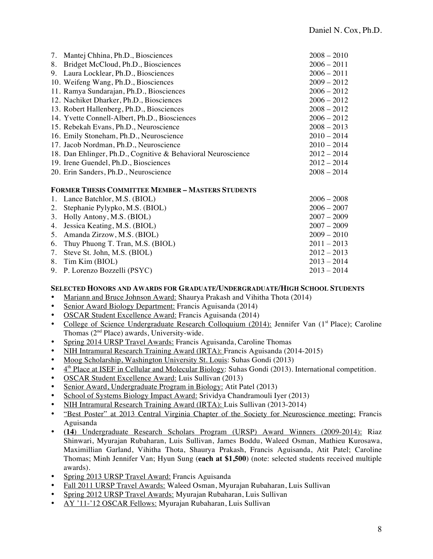|    | 7. Mantej Chhina, Ph.D., Biosciences                         | $2008 - 2010$ |
|----|--------------------------------------------------------------|---------------|
| 8. | Bridget McCloud, Ph.D., Biosciences                          | $2006 - 2011$ |
|    | 9. Laura Locklear, Ph.D., Biosciences                        | $2006 - 2011$ |
|    | 10. Weifeng Wang, Ph.D., Biosciences                         | $2009 - 2012$ |
|    | 11. Ramya Sundarajan, Ph.D., Biosciences                     | $2006 - 2012$ |
|    | 12. Nachiket Dharker, Ph.D., Biosciences                     | $2006 - 2012$ |
|    | 13. Robert Hallenberg, Ph.D., Biosciences                    | $2008 - 2012$ |
|    | 14. Yvette Connell-Albert, Ph.D., Biosciences                | $2006 - 2012$ |
|    | 15. Rebekah Evans, Ph.D., Neuroscience                       | $2008 - 2013$ |
|    | 16. Emily Stoneham, Ph.D., Neuroscience                      | $2010 - 2014$ |
|    | 17. Jacob Nordman, Ph.D., Neuroscience                       | $2010 - 2014$ |
|    | 18. Dan Ehlinger, Ph.D., Cognitive & Behavioral Neuroscience | $2012 - 2014$ |
|    | 19. Irene Guendel, Ph.D., Biosciences                        | $2012 - 2014$ |
|    | 20. Erin Sanders, Ph.D., Neuroscience                        | $2008 - 2014$ |

#### **FORMER THESIS COMMITTEE MEMBER – MASTERS STUDENTS**

| 1. Lance Batchlor, M.S. (BIOL)      | $2006 - 2008$ |
|-------------------------------------|---------------|
| 2. Stephanie Pylypko, M.S. (BIOL)   | $2006 - 2007$ |
| 3. Holly Antony, M.S. (BIOL)        | $2007 - 2009$ |
| 4. Jessica Keating, M.S. (BIOL)     | $2007 - 2009$ |
| 5. Amanda Zirzow, M.S. (BIOL)       | $2009 - 2010$ |
| 6. Thuy Phuong T. Tran, M.S. (BIOL) | $2011 - 2013$ |
| 7. Steve St. John, M.S. (BIOL)      | $2012 - 2013$ |
| 8. Tim Kim (BIOL)                   | $2013 - 2014$ |
| 9. P. Lorenzo Bozzelli (PSYC)       | $2013 - 2014$ |

## **SELECTED HONORS AND AWARDS FOR GRADUATE/UNDERGRADUATE/HIGH SCHOOL STUDENTS**

- Mariann and Bruce Johnson Award: Shaurya Prakash and Vihitha Thota (2014)
- Senior Award Biology Department: Francis Aguisanda (2014)
- OSCAR Student Excellence Award: Francis Aguisanda (2014)
- College of Science Undergraduate Research Colloquium (2014): Jennifer Van (1<sup>st</sup> Place); Caroline Thomas  $(2<sup>nd</sup> Place)$  awards, University-wide.
- Spring 2014 URSP Travel Awards: Francis Aguisanda, Caroline Thomas
- NIH Intramural Research Training Award (IRTA): Francis Aguisanda (2014-2015)
- Moog Scholarship, Washington University St. Louis: Suhas Gondi (2013)
- $4<sup>th</sup>$  Place at ISEF in Cellular and Molecular Biology: Suhas Gondi (2013). International competition.
- OSCAR Student Excellence Award: Luis Sullivan (2013)
- Senior Award, Undergraduate Program in Biology: Atit Patel (2013)
- School of Systems Biology Impact Award: Srividya Chandramouli Iyer (2013)
- NIH Intramural Research Training Award (IRTA): Luis Sullivan (2013-2014)
- "Best Poster" at 2013 Central Virginia Chapter of the Society for Neuroscience meeting: Francis Aguisanda
- **(14**) Undergraduate Research Scholars Program (URSP) Award Winners (2009-2014): Riaz Shinwari, Myurajan Rubaharan, Luis Sullivan, James Boddu, Waleed Osman, Mathieu Kurosawa, Maximillian Garland, Vihitha Thota, Shaurya Prakash, Francis Aguisanda, Atit Patel; Caroline Thomas; Minh Jennifer Van; Hyun Sung (**each at \$1,500**) (note: selected students received multiple awards).
- Spring 2013 URSP Travel Award: Francis Aguisanda
- Fall 2011 URSP Travel Awards: Waleed Osman, Myurajan Rubaharan, Luis Sullivan
- Spring 2012 URSP Travel Awards: Myurajan Rubaharan, Luis Sullivan
- AY '11-'12 OSCAR Fellows: Myurajan Rubaharan, Luis Sullivan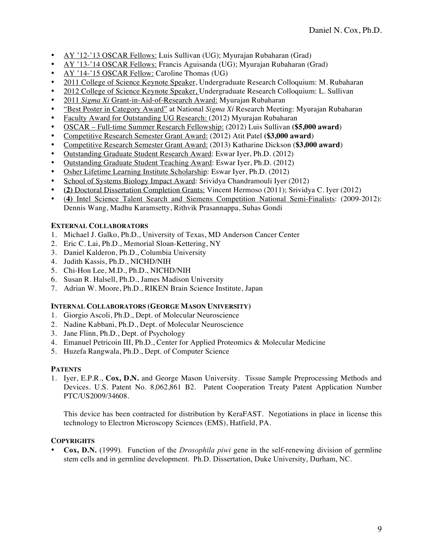- AY '12-'13 OSCAR Fellows: Luis Sullivan (UG); Myurajan Rubaharan (Grad)
- AY '13-'14 OSCAR Fellows: Francis Aguisanda (UG); Myurajan Rubaharan (Grad)
- AY '14-'15 OSCAR Fellow: Caroline Thomas (UG)
- 2011 College of Science Keynote Speaker, Undergraduate Research Colloquium: M. Rubaharan
- 2012 College of Science Keynote Speaker, Undergraduate Research Colloquium: L. Sullivan
- 2011 *Sigma Xi* Grant-in-Aid-of-Research Award: Myurajan Rubaharan
- "Best Poster in Category Award" at National *Sigma Xi* Research Meeting: Myurajan Rubaharan
- Faculty Award for Outstanding UG Research: (2012) Myurajan Rubaharan
- OSCAR Full-time Summer Research Fellowship: (2012) Luis Sullivan **(\$5,000 award**)
- Competitive Research Semester Grant Award: (2012) Atit Patel **(\$3,000 award**)
- Competitive Research Semester Grant Award: (2013) Katharine Dickson (**\$3,000 award**)
- Outstanding Graduate Student Research Award: Eswar Iyer, Ph.D. (2012)
- Outstanding Graduate Student Teaching Award: Eswar Iyer, Ph.D. (2012)
- Osher Lifetime Learning Institute Scholarship: Eswar Iyer, Ph.D. (2012)
- School of Systems Biology Impact Award: Srividya Chandramouli Iyer (2012)
- **(2)** Doctoral Dissertation Completion Grants: Vincent Hermoso (2011); Srividya C. Iyer (2012)
- (**4)** Intel Science Talent Search and Siemens Competition National Semi-Finalists: (2009-2012): Dennis Wang, Madhu Karamsetty, Rithvik Prasannappa, Suhas Gondi

# **EXTERNAL COLLABORATORS**

- 1. Michael J. Galko, Ph.D., University of Texas, MD Anderson Cancer Center
- 2. Eric C. Lai, Ph.D., Memorial Sloan-Kettering, NY
- 3. Daniel Kalderon, Ph.D., Columbia University
- 4. Judith Kassis, Ph.D., NICHD/NIH
- 5. Chi-Hon Lee, M.D., Ph.D., NICHD/NIH
- 6. Susan R. Halsell, Ph.D., James Madison University
- 7. Adrian W. Moore, Ph.D., RIKEN Brain Science Institute, Japan

# **INTERNAL COLLABORATORS (GEORGE MASON UNIVERSITY)**

- 1. Giorgio Ascoli, Ph.D., Dept. of Molecular Neuroscience
- 2. Nadine Kabbani, Ph.D., Dept. of Molecular Neuroscience
- 3. Jane Flinn, Ph.D., Dept. of Psychology
- 4. Emanuel Petricoin III, Ph.D., Center for Applied Proteomics & Molecular Medicine
- 5. Huzefa Rangwala, Ph.D., Dept. of Computer Science

# **PATENTS**

1. Iyer, E.P.R., **Cox, D.N.** and George Mason University. Tissue Sample Preprocessing Methods and Devices. U.S. Patent No. 8,062,861 B2. Patent Cooperation Treaty Patent Application Number PTC/US2009/34608.

This device has been contracted for distribution by KeraFAST. Negotiations in place in license this technology to Electron Microscopy Sciences (EMS), Hatfield, PA.

# **COPYRIGHTS**

• **Cox, D.N.** (1999). Function of the *Drosophila piwi* gene in the self-renewing division of germline stem cells and in germline development. Ph.D. Dissertation, Duke University, Durham, NC.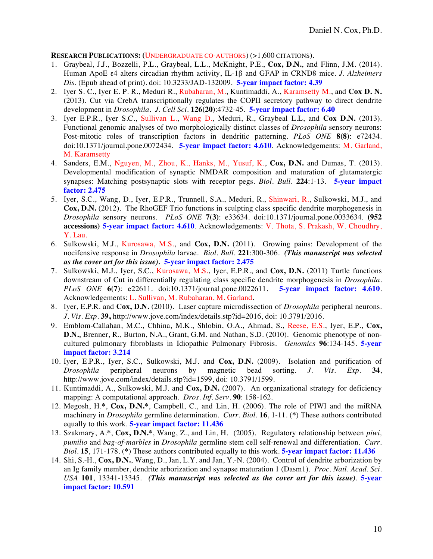## **RESEARCH PUBLICATIONS: (**UNDERGRADUATE CO-AUTHORS) (>1,600 CITATIONS).

- 1. Graybeal, J.J., Bozzelli, P.L., Graybeal, L.L., McKnight, P.E., **Cox, D.N.**, and Flinn, J.M. (2014). Human ApoE ε4 alters circadian rhythm activity, IL-1β and GFAP in CRND8 mice. *J. Alzheimers Dis.* (Epub ahead of print). doi: 10.3233/JAD-132009. **5-year impact factor: 4.39**
- 2. Iyer S. C., Iyer E. P. R., Meduri R., Rubaharan, M., Kuntimaddi, A., Karamsetty M., and **Cox D. N.**  (2013). Cut via CrebA transcriptionally regulates the COPII secretory pathway to direct dendrite development in *Drosophila*. *J. Cell Sci.* **126(20)**:4732-45. **5-year impact factor: 6.40**
- 3. Iyer E.P.R., Iyer S.C., Sullivan L., Wang D., Meduri, R., Graybeal L.L, and **Cox D.N.** (2013). Functional genomic analyses of two morphologically distinct classes of *Drosophila* sensory neurons: Post-mitotic roles of transcription factors in dendritic patterning. *PLoS ONE* **8(8)**: e72434. doi:10.1371/journal.pone.0072434. **5-year impact factor: 4.610**. Acknowledgements: M. Garland, M. Karamsetty
- 4. Sanders, E.M., Nguyen, M., Zhou, K., Hanks, M., Yusuf, K., **Cox, D.N.** and Dumas, T. (2013). Developmental modification of synaptic NMDAR composition and maturation of glutamatergic synapses: Matching postsynaptic slots with receptor pegs. *Biol. Bull.* **224**:1-13. **5-year impact factor: 2.475**
- 5. Iyer, S.C., Wang, D., Iyer, E.P.R., Trunnell, S.A., Meduri, R., Shinwari, R., Sulkowski, M.J., and **Cox, D.N.** (2012). The RhoGEF Trio functions in sculpting class specific dendrite morphogenesis in *Drosophila* sensory neurons. *PLoS ONE* **7(3)**: e33634. doi:10.1371/journal.pone.0033634. **(952 accessions) 5-year impact factor: 4.610**. Acknowledgements: V. Thota, S. Prakash, W. Choudhry, Y. Lau.
- 6. Sulkowski, M.J., Kurosawa, M.S., and **Cox, D.N.** (2011). Growing pains: Development of the nocifensive response in *Drosophila* larvae. *Biol. Bull*. **221**:300-306. *(This manuscript was selected as the cover art for this issue).* **5-year impact factor: 2.475**
- 7. Sulkowski, M.J., Iyer, S.C., Kurosawa, M.S., Iyer, E.P.R., and **Cox, D.N.** (2011) Turtle functions downstream of Cut in differentially regulating class specific dendrite morphogenesis in *Drosophila*. *PLoS ONE* **6(7)**: e22611. doi:10.1371/journal.pone.0022611. **5-year impact factor: 4.610**. Acknowledgements: L. Sullivan, M. Rubaharan, M. Garland.
- 8. Iyer, E.P.R. and **Cox, D.N.** (2010). Laser capture microdissection of *Drosophila* peripheral neurons. *J. Vis. Exp.* **39,** http://www.jove.com/index/details.stp?id=2016, doi: 10.3791/2016.
- 9. Emblom-Callahan, M.C., Chhina, M.K., Shlobin, O.A., Ahmad, S., Reese, E.S., Iyer, E.P., **Cox, D.N.**, Brenner, R., Burton, N.A., Grant, G.M. and Nathan, S.D. (2010). Genomic phenotype of noncultured pulmonary fibroblasts in Idiopathic Pulmonary Fibrosis. *Genomics* **96**:134-145. **5-year impact factor: 3.214**
- 10. Iyer, E.P.R., Iyer, S.C., Sulkowski, M.J. and **Cox, D.N.** (2009). Isolation and purification of *Drosophila* peripheral neurons by magnetic bead sorting. *J. Vis. Exp.* **34**, http://www.jove.com/index/details.stp?id=1599, doi: 10.3791/1599.
- 11. Kuntimaddi, A., Sulkowski, M.J. and **Cox, D.N.** (2007). An organizational strategy for deficiency mapping: A computational approach. *Dros. Inf. Serv.* **90**: 158-162.
- 12. Megosh, H.**\***, **Cox, D.N.\***, Campbell, C., and Lin, H. (2006). The role of PIWI and the miRNA machinery in *Drosophila* germline determination. *Curr. Biol.* **16**, 1-11. (**\***) These authors contributed equally to this work. **5-year impact factor: 11.436**
- 13. Szakmary, A.**\***, **Cox, D.N.\***, Wang, Z., and Lin, H. (2005). Regulatory relationship between *piwi, pumilio* and *bag-of-marbles* in *Drosophila* germline stem cell self-renewal and differentiation. *Curr. Biol.* **15**, 171-178. (**\***) These authors contributed equally to this work. **5-year impact factor: 11.436**
- 14. Shi, S.-H., **Cox, D.N.**, Wang, D., Jan, L.Y. and Jan, Y.-N. (2004). Control of dendrite arborization by an Ig family member, dendrite arborization and synapse maturation 1 (Dasm1). *Proc. Natl. Acad. Sci. USA* **101**, 13341-13345. *(This manuscript was selected as the cover art for this issue)*. **5-year impact factor: 10.591**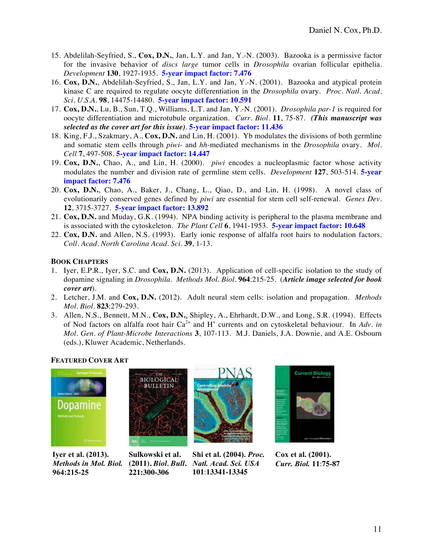- 15. Abdelilah-Seyfried, S., **Cox, D.N.**, Jan, L.Y. and Jan, Y.-N. (2003). Bazooka is a permissive factor for the invasive behavior of *discs large* tumor cells in *Drosophila* ovarian follicular epithelia. *Development* **130**, 1927-1935. **5-year impact factor: 7.476**
- 16. **Cox, D.N.**, Abdelilah-Seyfried, S., Jan, L.Y. and Jan, Y.-N. (2001). Bazooka and atypical protein kinase C are required to regulate oocyte differentiation in the *Drosophila* ovary. *Proc. Natl. Acad. Sci. U.S.A.* **98**, 14475-14480. **5-year impact factor: 10.591**
- 17. **Cox, D.N.**, Lu, B., Sun, T.Q., Williams, L.T. and Jan, Y.-N. (2001). *Drosophila par-1* is required for oocyte differentiation and microtubule organization. *Curr. Biol.* **11**, 75-87.*(This manuscript was selected as the cover art for this issue)*. **5-year impact factor: 11.436**
- 18. King, F.J., Szakmary, A., **Cox, D.N.** and Lin, H. (2001). Yb modulates the divisions of both germline and somatic stem cells through *piwi*- and *hh*-mediated mechanisms in the *Drosophila* ovary. *Mol. Cell* **7**, 497-508. **5-year impact factor: 14.447**
- 19. **Cox, D.N.**, Chao, A., and Lin, H. (2000). *piwi* encodes a nucleoplasmic factor whose activity modulates the number and division rate of germline stem cells. *Development* **127**, 503-514. **5-year impact factor: 7.476**
- 20. **Cox, D.N.**, Chao, A., Baker, J., Chang, L., Qiao, D., and Lin, H. (1998). A novel class of evolutionarily conserved genes defined by *piwi* are essential for stem cell self-renewal. *Genes Dev.* **12**, 3715-3727. **5-year impact factor: 13.892**
- 21. **Cox, D.N.** and Muday, G.K. (1994). NPA binding activity is peripheral to the plasma membrane and is associated with the cytoskeleton. *The Plant Cell* **6**, 1941-1953. **5-year impact factor: 10.648**
- 22. **Cox, D.N.** and Allen, N.S. (1993). Early ionic response of alfalfa root hairs to nodulation factors. *Coll. Acad. North Carolina Acad. Sci.* **39**, 1-13.

# **BOOK CHAPTERS**

- 1. Iyer, E.P.R., Iyer, S.C. and **Cox, D.N.** (2013). Application of cell-specific isolation to the study of dopamine signaling in *Drosophila*. *Methods Mol. Biol.* **964**:215-25. (*Article image selected for book cover art*).
- 2. Letcher, J.M. and **Cox, D.N.** (2012). Adult neural stem cells: isolation and propagation. *Methods Mol. Biol.* **823**:279-293.
- 3. Allen, N.S., Bennett, M.N., **Cox, D.N.**, Shipley, A., Ehrhardt, D.W., and Long, S.R. (1994). Effects of Nod factors on alfalfa root hair Ca<sup>2+</sup> and H<sup>+</sup> currents and on cytoskeletal behaviour. In Adv. in *Mol. Gen. of Plant-Microbe Interactions* **3**, 107-113. M.J. Daniels, J.A. Downie, and A.E. Osbourn (eds.), Kluwer Academic, Netherlands.

# **FEATURED COVER ART**



**Iyer et al. (2013).**  *Methods in Mol. Biol.* **964:215-25**



**Sulkowski et al. (2011).** *Biol. Bull***. 221:300-306**



**Shi et al. (2004).** *Proc. Natl. Acad. Sci. USA*  **101**:**13341-13345**



**Cox et al. (2001).**  *Curr. Biol.* **11**:**75-87**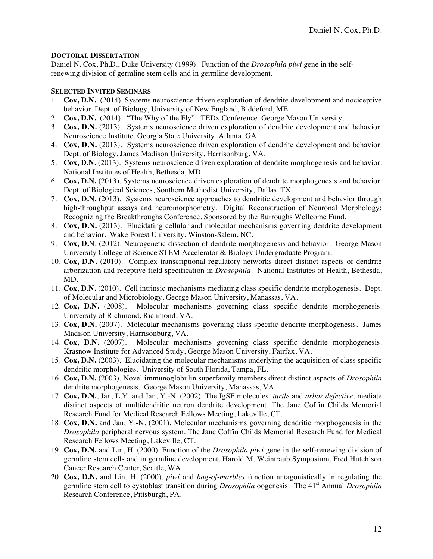## **DOCTORAL DISSERTATION**

Daniel N. Cox, Ph.D., Duke University (1999). Function of the *Drosophila piwi* gene in the selfrenewing division of germline stem cells and in germline development.

## **SELECTED INVITED SEMINARS**

- 1. **Cox, D.N.** (2014). Systems neuroscience driven exploration of dendrite development and nociceptive behavior. Dept. of Biology, University of New England, Biddeford, ME.
- 2. **Cox, D.N.** (2014). "The Why of the Fly". TEDx Conference, George Mason University.
- 3. **Cox, D.N.** (2013). Systems neuroscience driven exploration of dendrite development and behavior. Neuroscience Institute, Georgia State University, Atlanta, GA.
- 4. **Cox, D.N.** (2013). Systems neuroscience driven exploration of dendrite development and behavior. Dept. of Biology, James Madison University, Harrisonburg, VA.
- 5. **Cox, D.N.** (2013). Systems neuroscience driven exploration of dendrite morphogenesis and behavior. National Institutes of Health, Bethesda, MD.
- 6. **Cox, D.N.** (2013). Systems neuroscience driven exploration of dendrite morphogenesis and behavior. Dept. of Biological Sciences, Southern Methodist University, Dallas, TX.
- 7. **Cox, D.N.** (2013). Systems neuroscience approaches to dendritic development and behavior through high-throughput assays and neuromorphometry. Digital Reconstruction of Neuronal Morphology: Recognizing the Breakthroughs Conference. Sponsored by the Burroughs Wellcome Fund.
- 8. **Cox, D.N.** (2013). Elucidating cellular and molecular mechanisms governing dendrite development and behavior. Wake Forest University, Winston-Salem, NC.
- 9. **Cox, D.**N. (2012). Neurogenetic dissection of dendrite morphogenesis and behavior. George Mason University College of Science STEM Accelerator & Biology Undergraduate Program.
- 10. **Cox, D.N.** (2010). Complex transcriptional regulatory networks direct distinct aspects of dendrite arborization and receptive field specification in *Drosophila*. National Institutes of Health, Bethesda, MD.
- 11. **Cox, D.N.** (2010). Cell intrinsic mechanisms mediating class specific dendrite morphogenesis. Dept. of Molecular and Microbiology, George Mason University, Manassas, VA.
- 12. **Cox, D.N.** (2008). Molecular mechanisms governing class specific dendrite morphogenesis. University of Richmond, Richmond, VA.
- 13. **Cox, D.N.** (2007). Molecular mechanisms governing class specific dendrite morphogenesis. James Madison University, Harrisonburg, VA.
- 14. **Cox, D.N.** (2007). Molecular mechanisms governing class specific dendrite morphogenesis. Krasnow Institute for Advanced Study, George Mason University, Fairfax, VA.
- 15. **Cox, D.N.** (2003). Elucidating the molecular mechanisms underlying the acquisition of class specific dendritic morphologies. University of South Florida, Tampa, FL.
- 16. **Cox, D.N.** (2003). Novel immunoglobulin superfamily members direct distinct aspects of *Drosophila*  dendrite morphogenesis. George Mason University, Manassas, VA.
- 17. **Cox, D.N.**, Jan, L.Y. and Jan, Y.-N. (2002). The IgSF molecules, *turtle* and *arbor defective*, mediate distinct aspects of multidendritic neuron dendrite development. The Jane Coffin Childs Memorial Research Fund for Medical Research Fellows Meeting, Lakeville, CT.
- 18. **Cox, D.N.** and Jan, Y.-N. (2001). Molecular mechanisms governing dendritic morphogenesis in the *Drosophila* peripheral nervous system. The Jane Coffin Childs Memorial Research Fund for Medical Research Fellows Meeting, Lakeville, CT.
- 19. **Cox, D.N.** and Lin, H. (2000). Function of the *Drosophila piwi* gene in the self-renewing division of germline stem cells and in germline development. Harold M. Weintraub Symposium, Fred Hutchison Cancer Research Center, Seattle, WA.
- 20. **Cox, D.N.** and Lin, H. (2000). *piwi* and *bag-of-marbles* function antagonistically in regulating the germline stem cell to cystoblast transition during *Drosophila* oogenesis. The 41st Annual *Drosophila* Research Conference, Pittsburgh, PA.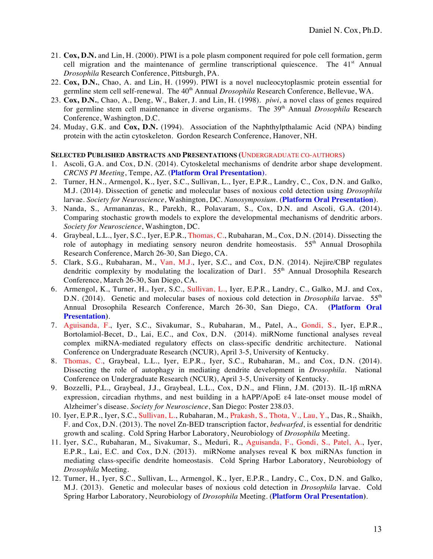- 21. **Cox, D.N.** and Lin, H. (2000). PIWI is a pole plasm component required for pole cell formation, germ cell migration and the maintenance of germline transcriptional quiescence. The  $41<sup>st</sup>$  Annual *Drosophila* Research Conference, Pittsburgh, PA.
- 22. **Cox, D.N.**, Chao, A. and Lin, H. (1999). PIWI is a novel nucleocytoplasmic protein essential for germline stem cell self-renewal. The 40<sup>th</sup> Annual *Drosophila* Research Conference, Bellevue, WA.
- 23. **Cox, D.N.**, Chao, A., Deng, W., Baker, J. and Lin, H. (1998). *piwi*, a novel class of genes required for germline stem cell maintenance in diverse organisms. The 39<sup>th</sup> Annual *Drosophila* Research Conference, Washington, D.C.
- 24. Muday, G.K. and **Cox, D.N.** (1994). Association of the Naphthylpthalamic Acid (NPA) binding protein with the actin cytoskeleton. Gordon Research Conference, Hanover, NH.

#### **SELECTED PUBLISHED ABSTRACTS AND PRESENTATIONS (**UNDERGRADUATE CO-AUTHORS)

- 1. Ascoli, G.A. and Cox, D.N. (2014). Cytoskeletal mechanisms of dendrite arbor shape development. *CRCNS PI Meeting*, Tempe, AZ. (**Platform Oral Presentation)**.
- 2. Turner, H.N., Armengol, K., Iyer, S.C., Sullivan, L., Iyer, E.P.R., Landry, C., Cox, D.N. and Galko, M.J. (2014). Dissection of genetic and molecular bases of noxious cold detection using *Drosophila*  larvae. *Society for Neuroscience*, Washington, DC. *Nanosymposium.* (**Platform Oral Presentation**).
- 3. Nanda, S., Armananzas, R., Parekh, R., Polavaram, S., Cox, D.N. and Ascoli, G.A. (2014). Comparing stochastic growth models to explore the developmental mechanisms of dendritic arbors. *Society for Neuroscience*, Washington, DC.
- 4. Graybeal, L.L., Iyer, S.C., Iyer, E.P.R., Thomas, C., Rubaharan, M., Cox, D.N. (2014). Dissecting the role of autophagy in mediating sensory neuron dendrite homeostasis. 55<sup>th</sup> Annual Drosophila Research Conference, March 26-30, San Diego, CA.
- 5. Clark, S.G., Rubaharan, M., Van, M.J., Iyer, S.C., and Cox, D.N. (2014). Nejire/CBP regulates dendritic complexity by modulating the localization of Dar1.  $55<sup>th</sup>$  Annual Drosophila Research Conference, March 26-30, San Diego, CA.
- 6. Armengol, K., Turner, H., Iyer, S.C., Sullivan, L., Iyer, E.P.R., Landry, C., Galko, M.J. and Cox, D.N. (2014). Genetic and molecular bases of noxious cold detection in *Drosophila* larvae. 55<sup>th</sup> Annual Drosophila Research Conference, March 26-30, San Diego, CA. (**Platform Oral Presentation)**.
- 7. Aguisanda, F., Iyer, S.C., Sivakumar, S., Rubaharan, M., Patel, A., Gondi, S., Iyer, E.P.R., Bortolamiol-Becet, D., Lai, E.C., and Cox, D.N. (2014). miRNome functional analyses reveal complex miRNA-mediated regulatory effects on class-specific dendritic architecture. National Conference on Undergraduate Research (NCUR), April 3-5, University of Kentucky.
- 8. Thomas, C., Graybeal, L.L., Iyer, E.P.R., Iyer, S.C., Rubaharan, M., and Cox, D.N. (2014). Dissecting the role of autophagy in mediating dendrite development in *Drosophila*. National Conference on Undergraduate Research (NCUR), April 3-5, University of Kentucky.
- 9. Bozzelli, P.L., Graybeal, J.J., Graybeal, L.L., Cox, D.N., and Flinn, J.M. (2013). IL-1β mRNA expression, circadian rhythms, and nest building in a hAPP/ApoE  $\varepsilon$ 4 late-onset mouse model of Alzheimer's disease. *Society for Neuroscience*, San Diego: Poster 238.03.
- 10. Iyer, E.P.R., Iyer, S.C., Sullivan, L., Rubaharan, M., Prakash, S., Thota, V., Lau, Y., Das, R., Shaikh, F. and Cox, D.N. (2013). The novel Zn-BED transcription factor, *bedwarfed*, is essential for dendritic growth and scaling. Cold Spring Harbor Laboratory, Neurobiology of *Drosophila* Meeting.
- 11. Iyer, S.C., Rubaharan, M., Sivakumar, S., Meduri, R., Aguisanda, F., Gondi, S., Patel, A., Iyer, E.P.R., Lai, E.C. and Cox, D.N. (2013). miRNome analyses reveal K box miRNAs function in mediating class-specific dendrite homeostasis. Cold Spring Harbor Laboratory, Neurobiology of *Drosophila* Meeting.
- 12. Turner, H., Iyer, S.C., Sullivan, L., Armengol, K., Iyer, E.P.R., Landry, C., Cox, D.N. and Galko, M.J. (2013). Genetic and molecular bases of noxious cold detection in *Drosophila* larvae. Cold Spring Harbor Laboratory, Neurobiology of *Drosophila* Meeting. (**Platform Oral Presentation)**.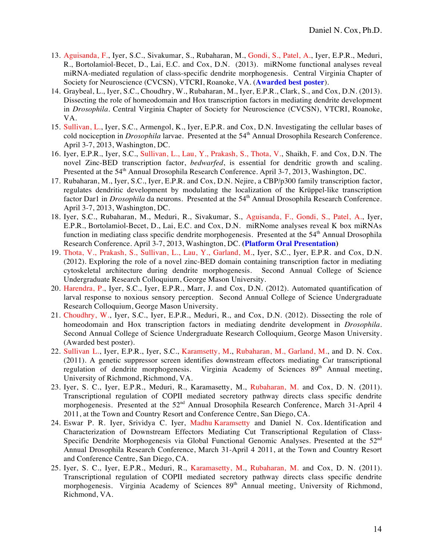- 13. Aguisanda, F., Iyer, S.C., Sivakumar, S., Rubaharan, M., Gondi, S., Patel, A., Iyer, E.P.R., Meduri, R., Bortolamiol-Becet, D., Lai, E.C. and Cox, D.N. (2013). miRNome functional analyses reveal miRNA-mediated regulation of class-specific dendrite morphogenesis. Central Virginia Chapter of Society for Neuroscience (CVCSN), VTCRI, Roanoke, VA. (**Awarded best poster**).
- 14. Graybeal, L., Iyer, S.C., Choudhry, W., Rubaharan, M., Iyer, E.P.R., Clark, S., and Cox, D.N. (2013). Dissecting the role of homeodomain and Hox transcription factors in mediating dendrite development in *Drosophila*. Central Virginia Chapter of Society for Neuroscience (CVCSN), VTCRI, Roanoke, VA.
- 15. Sullivan, L., Iyer, S.C., Armengol, K., Iyer, E.P.R. and Cox, D.N. Investigating the cellular bases of cold nociception in *Drosophila* larvae. Presented at the 54<sup>th</sup> Annual Drosophila Research Conference. April 3-7, 2013, Washington, DC.
- 16. Iyer, E.P.R., Iyer, S.C., Sullivan, L., Lau, Y., Prakash, S., Thota, V., Shaikh, F. and Cox, D.N. The novel Zinc-BED transcription factor, *bedwarfed*, is essential for dendritic growth and scaling. Presented at the 54<sup>th</sup> Annual Drosophila Research Conference. April 3-7, 2013, Washington, DC.
- 17. Rubaharan, M., Iyer, S.C., Iyer, E.P.R. and Cox, D.N. Nejire, a CBP/p300 family transcription factor, regulates dendritic development by modulating the localization of the Krüppel-like transcription factor Dar1 in *Drosophila* da neurons. Presented at the 54<sup>th</sup> Annual Drosophila Research Conference. April 3-7, 2013, Washington, DC.
- 18. Iyer, S.C., Rubaharan, M., Meduri, R., Sivakumar, S., Aguisanda, F., Gondi, S., Patel, A., Iyer, E.P.R., Bortolamiol-Becet, D., Lai, E.C. and Cox, D.N. miRNome analyses reveal K box miRNAs function in mediating class specific dendrite morphogenesis. Presented at the  $54<sup>th</sup>$  Annual Drosophila Research Conference. April 3-7, 2013, Washington, DC. **(Platform Oral Presentation)**
- 19. Thota, V., Prakash, S., Sullivan, L., Lau, Y., Garland, M., Iyer, S.C., Iyer, E.P.R. and Cox, D.N. (2012). Exploring the role of a novel zinc-BED domain containing transcription factor in mediating cytoskeletal architecture during dendrite morphogenesis. Second Annual College of Science Undergraduate Research Colloquium, George Mason University.
- 20. Harendra, P., Iyer, S.C., Iyer, E.P.R., Marr, J. and Cox, D.N. (2012). Automated quantification of larval response to noxious sensory perception. Second Annual College of Science Undergraduate Research Colloquium, George Mason University.
- 21. Choudhry, W., Iyer, S.C., Iyer, E.P.R., Meduri, R., and Cox, D.N. (2012). Dissecting the role of homeodomain and Hox transcription factors in mediating dendrite development in *Drosophila*. Second Annual College of Science Undergraduate Research Colloquium, George Mason University. (Awarded best poster).
- 22. Sullivan L., Iyer, E.P.R., Iyer, S.C., Karamsetty, M., Rubaharan, M., Garland, M., and D. N. Cox. (2011). A genetic suppressor screen identifies downstream effectors mediating *Cut* transcriptional regulation of dendrite morphogenesis. Virginia Academy of Sciences 89<sup>th</sup> Annual meeting, University of Richmond, Richmond, VA.
- 23. Iyer, S. C., Iyer, E.P.R., Meduri, R., Karamasetty, M., Rubaharan, M. and Cox, D. N. (2011). Transcriptional regulation of COPII mediated secretory pathway directs class specific dendrite morphogenesis. Presented at the 52<sup>nd</sup> Annual Drosophila Research Conference, March 31-April 4 2011, at the Town and Country Resort and Conference Centre, San Diego, CA.
- 24. Eswar P. R. Iyer, Srividya C. Iyer, Madhu Karamsetty and Daniel N. Cox. Identification and Characterization of Downstream Effectors Mediating Cut Transcriptional Regulation of Class-Specific Dendrite Morphogenesis via Global Functional Genomic Analyses. Presented at the 52<sup>nd</sup> Annual Drosophila Research Conference, March 31-April 4 2011, at the Town and Country Resort and Conference Centre, San Diego, CA.
- 25. Iyer, S. C., Iyer, E.P.R., Meduri, R., Karamasetty, M., Rubaharan, M. and Cox, D. N. (2011). Transcriptional regulation of COPII mediated secretory pathway directs class specific dendrite morphogenesis. Virginia Academy of Sciences 89<sup>th</sup> Annual meeting, University of Richmond, Richmond, VA.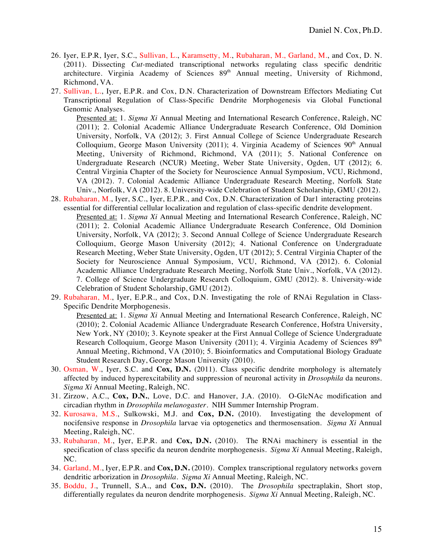- 26. Iyer, E.P.R, Iyer, S.C., Sullivan, L., Karamsetty, M., Rubaharan, M., Garland, M., and Cox, D. N. (2011). Dissecting *Cut-*mediated transcriptional networks regulating class specific dendritic architecture. Virginia Academy of Sciences 89<sup>th</sup> Annual meeting, University of Richmond, Richmond, VA.
- 27. Sullivan, L., Iyer, E.P.R. and Cox, D.N. Characterization of Downstream Effectors Mediating Cut Transcriptional Regulation of Class-Specific Dendrite Morphogenesis via Global Functional Genomic Analyses.

Presented at: 1. *Sigma Xi* Annual Meeting and International Research Conference, Raleigh, NC (2011); 2. Colonial Academic Alliance Undergraduate Research Conference, Old Dominion University, Norfolk, VA (2012); 3. First Annual College of Science Undergraduate Research Colloquium, George Mason University (2011); 4. Virginia Academy of Sciences  $90<sup>th</sup>$  Annual Meeting, University of Richmond, Richmond, VA (2011); 5. National Conference on Undergraduate Research (NCUR) Meeting, Weber State University, Ogden, UT (2012); 6. Central Virginia Chapter of the Society for Neuroscience Annual Symposium, VCU, Richmond, VA (2012). 7. Colonial Academic Alliance Undergraduate Research Meeting, Norfolk State Univ., Norfolk, VA (2012). 8. University-wide Celebration of Student Scholarship, GMU (2012).

- 28. Rubaharan, M., Iyer, S.C., Iyer, E.P.R., and Cox, D.N. Characterization of Dar1 interacting proteins essential for differential cellular localization and regulation of class-specific dendrite development. Presented at: 1. *Sigma Xi* Annual Meeting and International Research Conference, Raleigh, NC (2011); 2. Colonial Academic Alliance Undergraduate Research Conference, Old Dominion University, Norfolk, VA (2012); 3. Second Annual College of Science Undergraduate Research Colloquium, George Mason University (2012); 4. National Conference on Undergraduate Research Meeting, Weber State University, Ogden, UT (2012); 5. Central Virginia Chapter of the Society for Neuroscience Annual Symposium, VCU, Richmond, VA (2012). 6. Colonial Academic Alliance Undergraduate Research Meeting, Norfolk State Univ., Norfolk, VA (2012). 7. College of Science Undergraduate Research Colloquium, GMU (2012). 8. University-wide Celebration of Student Scholarship, GMU (2012).
- 29. Rubaharan, M., Iyer, E.P.R., and Cox, D.N. Investigating the role of RNAi Regulation in Class-Specific Dendrite Morphogenesis.

Presented at: 1. *Sigma Xi* Annual Meeting and International Research Conference, Raleigh, NC (2010); 2. Colonial Academic Alliance Undergraduate Research Conference, Hofstra University, New York, NY (2010); 3. Keynote speaker at the First Annual College of Science Undergraduate Research Colloquium, George Mason University (2011); 4. Virginia Academy of Sciences  $89<sup>th</sup>$ Annual Meeting, Richmond, VA (2010); 5. Bioinformatics and Computational Biology Graduate Student Research Day, George Mason University (2010).

- 30. Osman, W., Iyer, S.C. and **Cox, D.N.** (2011). Class specific dendrite morphology is alternately affected by induced hyperexcitability and suppression of neuronal activity in *Drosophila* da neurons. *Sigma Xi* Annual Meeting, Raleigh, NC.
- 31. Zirzow, A.C., **Cox, D.N.**, Love, D.C. and Hanover, J.A. (2010). O-GlcNAc modification and circadian rhythm in *Drosophila melanogaster*. NIH Summer Internship Program.
- 32. Kurosawa, M.S., Sulkowski, M.J. and **Cox, D.N.** (2010). Investigating the development of nocifensive response in *Drosophila* larvae via optogenetics and thermosensation. *Sigma Xi* Annual Meeting, Raleigh, NC.
- 33. Rubaharan, M., Iyer, E.P.R. and **Cox, D.N.** (2010). The RNAi machinery is essential in the specification of class specific da neuron dendrite morphogenesis. *Sigma Xi* Annual Meeting, Raleigh, NC.
- 34. Garland, M., Iyer, E.P.R. and **Cox, D.N.** (2010). Complex transcriptional regulatory networks govern dendritic arborization in *Drosophila. Sigma Xi* Annual Meeting, Raleigh, NC.
- 35. Boddu, J., Trunnell, S.A., and **Cox, D.N.** (2010). The *Drosophila* spectraplakin, Short stop, differentially regulates da neuron dendrite morphogenesis. *Sigma Xi* Annual Meeting, Raleigh, NC.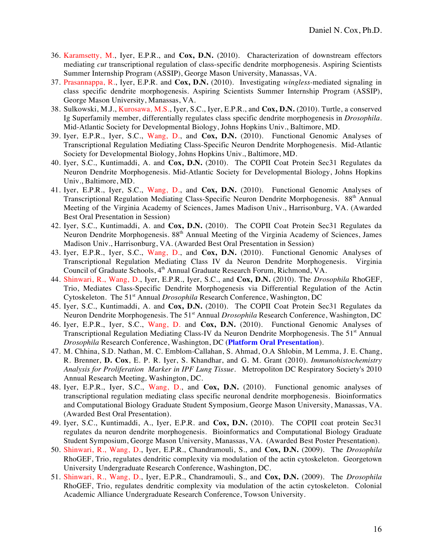- 36. Karamsetty, M., Iyer, E.P.R., and **Cox, D.N.** (2010). Characterization of downstream effectors mediating *cut* transcriptional regulation of class-specific dendrite morphogenesis. Aspiring Scientists Summer Internship Program (ASSIP), George Mason University, Manassas, VA.
- 37. Prasannappa, R., Iyer, E.P.R. and **Cox, D.N.** (2010). Investigating *wingless-*mediated signaling in class specific dendrite morphogenesis. Aspiring Scientists Summer Internship Program (ASSIP), George Mason University, Manassas, VA.
- 38. Sulkowski, M.J., Kurosawa, M.S., Iyer, S.C., Iyer, E.P.R., and **Cox, D.N.** (2010). Turtle, a conserved Ig Superfamily member, differentially regulates class specific dendrite morphogenesis in *Drosophila*. Mid-Atlantic Society for Developmental Biology, Johns Hopkins Univ., Baltimore, MD.
- 39. Iyer, E.P.R., Iyer, S.C., Wang, D., and **Cox, D.N.** (2010). Functional Genomic Analyses of Transcriptional Regulation Mediating Class-Specific Neuron Dendrite Morphogenesis. Mid-Atlantic Society for Developmental Biology, Johns Hopkins Univ., Baltimore, MD.
- 40. Iyer, S.C., Kuntimaddi, A. and **Cox, D.N.** (2010). The COPII Coat Protein Sec31 Regulates da Neuron Dendrite Morphogenesis. Mid-Atlantic Society for Developmental Biology, Johns Hopkins Univ., Baltimore, MD.
- 41. Iyer, E.P.R., Iyer, S.C., Wang, D., and **Cox, D.N.** (2010). Functional Genomic Analyses of Transcriptional Regulation Mediating Class-Specific Neuron Dendrite Morphogenesis. 88<sup>th</sup> Annual Meeting of the Virginia Academy of Sciences, James Madison Univ., Harrisonburg, VA. (Awarded Best Oral Presentation in Session)
- 42. Iyer, S.C., Kuntimaddi, A. and **Cox, D.N.** (2010). The COPII Coat Protein Sec31 Regulates da Neuron Dendrite Morphogenesis. 88<sup>th</sup> Annual Meeting of the Virginia Academy of Sciences, James Madison Univ., Harrisonburg, VA. (Awarded Best Oral Presentation in Session)
- 43. Iyer, E.P.R., Iyer, S.C., Wang, D., and **Cox, D.N.** (2010). Functional Genomic Analyses of Transcriptional Regulation Mediating Class IV da Neuron Dendrite Morphogenesis. Virginia Council of Graduate Schools, 4<sup>th</sup> Annual Graduate Research Forum, Richmond, VA.
- 44. Shinwari, R., Wang, D., Iyer, E.P.R., Iyer, S.C., and **Cox, D.N.** (2010). The *Drosophila* RhoGEF, Trio, Mediates Class-Specific Dendrite Morphogenesis via Differential Regulation of the Actin Cytoskeleton. The 51st Annual *Drosophila* Research Conference, Washington, DC
- 45. Iyer, S.C., Kuntimaddi, A. and **Cox, D.N.** (2010). The COPII Coat Protein Sec31 Regulates da Neuron Dendrite Morphogenesis. The 51<sup>st</sup> Annual *Drosophila* Research Conference, Washington, DC
- 46. Iyer, E.P.R., Iyer, S.C., Wang, D. and **Cox, D.N.** (2010). Functional Genomic Analyses of Transcriptional Regulation Mediating Class-IV da Neuron Dendrite Morphogenesis. The 51<sup>st</sup> Annual *Drosophila* Research Conference, Washington, DC (**Platform Oral Presentation**).
- 47. M. Chhina, S.D. Nathan, M. C. Emblom-Callahan, S. Ahmad, O.A Shlobin, M Lemma, J. E. Chang, R. Brenner, **D. Cox**, E. P. R. Iyer, S. Khandhar, and G. M. Grant (2010). *Immunohistochemistry Analysis for Proliferation Marker in IPF Lung Tissue*. Metropoliton DC Respiratory Society's 2010 Annual Research Meeting*,* Washington, DC.
- 48. Iyer, E.P.R., Iyer, S.C., Wang, D., and **Cox, D.N.** (2010). Functional genomic analyses of transcriptional regulation mediating class specific neuronal dendrite morphogenesis. Bioinformatics and Computational Biology Graduate Student Symposium, George Mason University, Manassas, VA. (Awarded Best Oral Presentation).
- 49. Iyer, S.C., Kuntimaddi, A., Iyer, E.P.R. and **Cox, D.N.** (2010). The COPII coat protein Sec31 regulates da neuron dendrite morphogenesis. Bioinformatics and Computational Biology Graduate Student Symposium, George Mason University, Manassas, VA. (Awarded Best Poster Presentation).
- 50. Shinwari, R., Wang, D., Iyer, E.P.R., Chandramouli, S., and **Cox, D.N.** (2009). The *Drosophila*  RhoGEF, Trio, regulates dendritic complexity via modulation of the actin cytoskeleton. Georgetown University Undergraduate Research Conference, Washington, DC.
- 51. Shinwari, R., Wang, D., Iyer, E.P.R., Chandramouli, S., and **Cox, D.N.** (2009). The *Drosophila*  RhoGEF, Trio, regulates dendritic complexity via modulation of the actin cytoskeleton. Colonial Academic Alliance Undergraduate Research Conference, Towson University.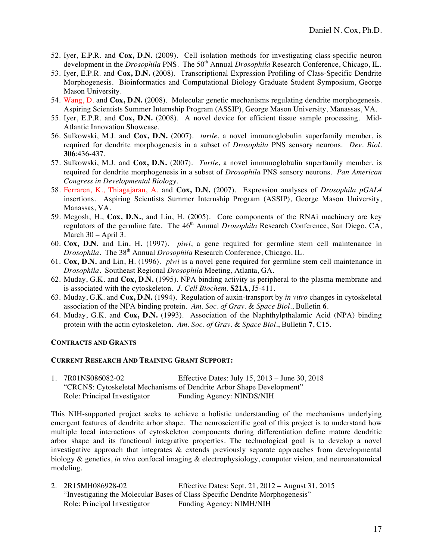- 52. Iyer, E.P.R. and **Cox, D.N.** (2009). Cell isolation methods for investigating class-specific neuron development in the *Drosophila* PNS. The 50<sup>th</sup> Annual *Drosophila* Research Conference, Chicago, IL.
- 53. Iyer, E.P.R. and **Cox, D.N.** (2008). Transcriptional Expression Profiling of Class-Specific Dendrite Morphogenesis. Bioinformatics and Computational Biology Graduate Student Symposium, George Mason University.
- 54. Wang, D. and **Cox, D.N.** (2008). Molecular genetic mechanisms regulating dendrite morphogenesis. Aspiring Scientists Summer Internship Program (ASSIP), George Mason University, Manassas, VA.
- 55. Iyer, E.P.R. and **Cox, D.N.** (2008). A novel device for efficient tissue sample processing. Mid-Atlantic Innovation Showcase.
- 56. Sulkowski, M.J. and **Cox, D.N.** (2007). *turtle*, a novel immunoglobulin superfamily member, is required for dendrite morphogenesis in a subset of *Drosophila* PNS sensory neurons. *Dev. Biol.*  **306**:436-437.
- 57. Sulkowski, M.J. and **Cox, D.N.** (2007). *Turtle*, a novel immunoglobulin superfamily member, is required for dendrite morphogenesis in a subset of *Drosophila* PNS sensory neurons. *Pan American Congress in Developmental Biology.*
- 58. Ferraren, K., Thiagajaran, A. and **Cox, D.N.** (2007). Expression analyses of *Drosophila pGAL4* insertions. Aspiring Scientists Summer Internship Program (ASSIP), George Mason University, Manassas, VA.
- 59. Megosh, H., **Cox, D.N.**, and Lin, H. (2005). Core components of the RNAi machinery are key regulators of the germline fate. The 46<sup>th</sup> Annual *Drosophila* Research Conference, San Diego, CA, March 30 – April 3.
- 60. **Cox, D.N.** and Lin, H. (1997). *piwi*, a gene required for germline stem cell maintenance in *Drosophila*. The 38<sup>th</sup> Annual *Drosophila* Research Conference, Chicago, IL.
- 61. **Cox, D.N.** and Lin, H. (1996). *piwi* is a novel gene required for germline stem cell maintenance in *Drosophila*. Southeast Regional *Drosophila* Meeting, Atlanta, GA.
- 62. Muday, G.K. and **Cox, D.N.** (1995). NPA binding activity is peripheral to the plasma membrane and is associated with the cytoskeleton*. J. Cell Biochem*. **S21A**, J5-411.
- 63. Muday, G.K. and **Cox, D.N.** (1994). Regulation of auxin-transport by *in vitro* changes in cytoskeletal association of the NPA binding protein. *Am. Soc. of Grav.* & *Space Biol.*, Bulletin **6**.
- 64. Muday, G.K. and **Cox, D.N.** (1993). Association of the Naphthylpthalamic Acid (NPA) binding protein with the actin cytoskeleton. *Am. Soc. of Grav.* & *Space Biol.*, Bulletin **7**, C15.

#### **CONTRACTS AND GRANTS**

#### **CURRENT RESEARCH AND TRAINING GRANT SUPPORT:**

1. 7R01NS086082-02 Effective Dates: July 15, 2013 – June 30, 2018 "CRCNS: Cytoskeletal Mechanisms of Dendrite Arbor Shape Development" Role: Principal Investigator Funding Agency: NINDS/NIH

This NIH-supported project seeks to achieve a holistic understanding of the mechanisms underlying emergent features of dendrite arbor shape. The neuroscientific goal of this project is to understand how multiple local interactions of cytoskeleton components during differentiation define mature dendritic arbor shape and its functional integrative properties. The technological goal is to develop a novel investigative approach that integrates & extends previously separate approaches from developmental biology & genetics, *in vivo* confocal imaging & electrophysiology, computer vision, and neuroanatomical modeling.

2. 2R15MH086928-02 Effective Dates: Sept. 21, 2012 – August 31, 2015 "Investigating the Molecular Bases of Class-Specific Dendrite Morphogenesis" Role: Principal Investigator Funding Agency: NIMH/NIH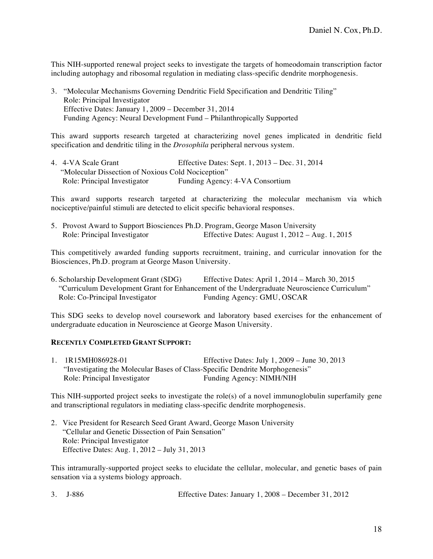This NIH-supported renewal project seeks to investigate the targets of homeodomain transcription factor including autophagy and ribosomal regulation in mediating class-specific dendrite morphogenesis.

3. "Molecular Mechanisms Governing Dendritic Field Specification and Dendritic Tiling" Role: Principal Investigator Effective Dates: January 1, 2009 – December 31, 2014 Funding Agency: Neural Development Fund – Philanthropically Supported

This award supports research targeted at characterizing novel genes implicated in dendritic field specification and dendritic tiling in the *Drosophila* peripheral nervous system.

4. 4-VA Scale Grant Effective Dates: Sept. 1, 2013 – Dec. 31, 2014 "Molecular Dissection of Noxious Cold Nociception" Funding Agency: 4-VA Consortium

This award supports research targeted at characterizing the molecular mechanism via which nociceptive/painful stimuli are detected to elicit specific behavioral responses.

5. Provost Award to Support Biosciences Ph.D. Program, George Mason University Role: Principal Investigator Effective Dates: August 1, 2012 – Aug. 1, 2015

This competitively awarded funding supports recruitment, training, and curricular innovation for the Biosciences, Ph.D. program at George Mason University.

| 6. Scholarship Development Grant (SDG) | Effective Dates: April $1,2014$ – March 30, 2015                                            |
|----------------------------------------|---------------------------------------------------------------------------------------------|
|                                        | "Curriculum Development Grant for Enhancement of the Undergraduate Neuroscience Curriculum" |
| Role: Co-Principal Investigator        | Funding Agency: GMU, OSCAR                                                                  |

This SDG seeks to develop novel coursework and laboratory based exercises for the enhancement of undergraduate education in Neuroscience at George Mason University.

#### **RECENTLY COMPLETED GRANT SUPPORT:**

| 1. 1R15MH086928-01                                                           | Effective Dates: July $1,2009 -$ June 30, 2013 |
|------------------------------------------------------------------------------|------------------------------------------------|
| "Investigating the Molecular Bases of Class-Specific Dendrite Morphogenesis" |                                                |
| Role: Principal Investigator                                                 | Funding Agency: NIMH/NIH                       |

This NIH-supported project seeks to investigate the role(s) of a novel immunoglobulin superfamily gene and transcriptional regulators in mediating class-specific dendrite morphogenesis.

2. Vice President for Research Seed Grant Award, George Mason University "Cellular and Genetic Dissection of Pain Sensation" Role: Principal Investigator Effective Dates: Aug. 1, 2012 – July 31, 2013

This intramurally-supported project seeks to elucidate the cellular, molecular, and genetic bases of pain sensation via a systems biology approach.

|  | 3. J-886 |  | Effective Dates: January $1,2008$ – December 31, 2012 |
|--|----------|--|-------------------------------------------------------|
|--|----------|--|-------------------------------------------------------|